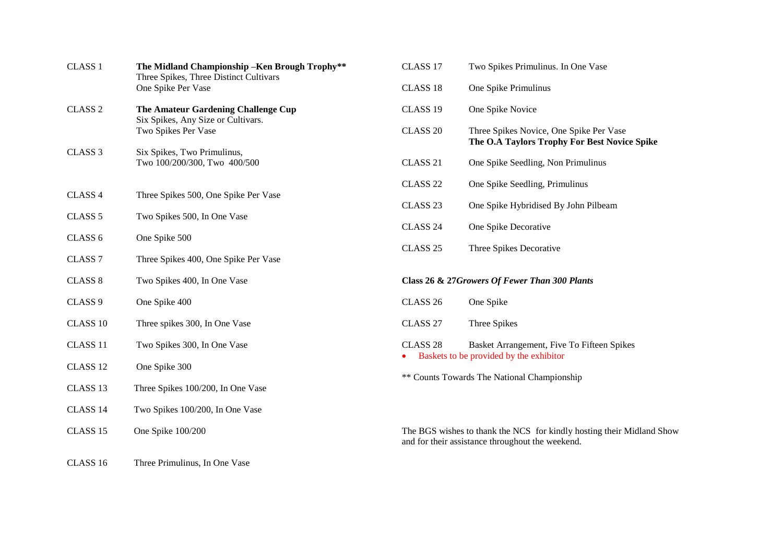| CLASS <sub>1</sub>  | The Midland Championship - Ken Brough Trophy**<br>Three Spikes, Three Distinct Cultivars<br>One Spike Per Vase | CLASS 17                                                                                                                  | Two Spikes Primulinus. In One Vase                                                      |  |
|---------------------|----------------------------------------------------------------------------------------------------------------|---------------------------------------------------------------------------------------------------------------------------|-----------------------------------------------------------------------------------------|--|
|                     |                                                                                                                | CLASS <sub>18</sub>                                                                                                       | One Spike Primulinus                                                                    |  |
| CLASS <sub>2</sub>  | The Amateur Gardening Challenge Cup                                                                            | CLASS 19                                                                                                                  | One Spike Novice                                                                        |  |
|                     | Six Spikes, Any Size or Cultivars.<br>Two Spikes Per Vase                                                      | CLASS <sub>20</sub>                                                                                                       | Three Spikes Novice, One Spike Per Vase<br>The O.A Taylors Trophy For Best Novice Spike |  |
| CLASS <sub>3</sub>  | Six Spikes, Two Primulinus,<br>Two 100/200/300, Two 400/500                                                    | CLASS <sub>21</sub>                                                                                                       | One Spike Seedling, Non Primulinus                                                      |  |
|                     |                                                                                                                | CLASS <sub>22</sub>                                                                                                       | One Spike Seedling, Primulinus                                                          |  |
| CLASS 4             | Three Spikes 500, One Spike Per Vase                                                                           | CLASS <sub>23</sub><br>One Spike Hybridised By John Pilbeam                                                               |                                                                                         |  |
| CLASS <sub>5</sub>  | Two Spikes 500, In One Vase                                                                                    | CLASS <sub>24</sub>                                                                                                       | One Spike Decorative                                                                    |  |
| CLASS <sub>6</sub>  | One Spike 500                                                                                                  | CLASS <sub>25</sub>                                                                                                       | Three Spikes Decorative                                                                 |  |
| CLASS <sub>7</sub>  | Three Spikes 400, One Spike Per Vase                                                                           |                                                                                                                           |                                                                                         |  |
| <b>CLASS 8</b>      | Two Spikes 400, In One Vase                                                                                    |                                                                                                                           | Class 26 & 27Growers Of Fewer Than 300 Plants                                           |  |
| CLASS <sub>9</sub>  | One Spike 400                                                                                                  | CLASS <sub>26</sub>                                                                                                       | One Spike                                                                               |  |
| CLASS 10            | Three spikes 300, In One Vase                                                                                  | CLASS <sub>27</sub>                                                                                                       | Three Spikes                                                                            |  |
| CLASS 11            | Two Spikes 300, In One Vase                                                                                    | CLASS <sub>28</sub>                                                                                                       | Basket Arrangement, Five To Fifteen Spikes                                              |  |
| CLASS <sub>12</sub> | One Spike 300                                                                                                  | Baskets to be provided by the exhibitor<br>** Counts Towards The National Championship                                    |                                                                                         |  |
| CLASS 13            | Three Spikes 100/200, In One Vase                                                                              |                                                                                                                           |                                                                                         |  |
| CLASS 14            | Two Spikes 100/200, In One Vase                                                                                |                                                                                                                           |                                                                                         |  |
| CLASS 15            | One Spike 100/200                                                                                              | The BGS wishes to thank the NCS for kindly hosting their Midland Show<br>and for their assistance throughout the weekend. |                                                                                         |  |
| CLASS 16            | Three Primulinus, In One Vase                                                                                  |                                                                                                                           |                                                                                         |  |